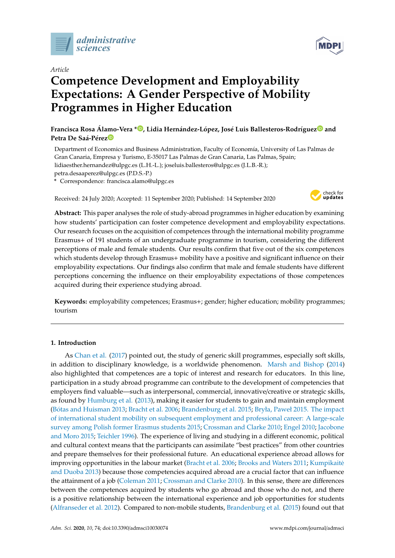

*Article*

# **Competence Development and Employability Expectations: A Gender Perspective of Mobility Programmes in Higher Education**

**Francisca Rosa Álamo-Vera \* [,](https://orcid.org/0000-0002-1015-9299) Lidia Hernández-López, José Luis Ballesteros-Rodrígue[z](https://orcid.org/0000-0002-3934-2679) and Petra De Saá-Pére[z](https://orcid.org/0000-0002-3945-5454)**

Department of Economics and Business Administration, Faculty of Economía, University of Las Palmas de Gran Canaria, Empresa y Turismo, E-35017 Las Palmas de Gran Canaria, Las Palmas, Spain; lidiaesther.hernandez@ulpgc.es (L.H.-L.); joseluis.ballesteros@ulpgc.es (J.L.B.-R.);

petra.desaaperez@ulpgc.es (P.D.S.-P.)

**\*** Correspondence: francisca.alamo@ulpgc.es

Received: 24 July 2020; Accepted: 11 September 2020; Published: 14 September 2020



**Abstract:** This paper analyses the role of study-abroad programmes in higher education by examining how students' participation can foster competence development and employability expectations. Our research focuses on the acquisition of competences through the international mobility programme Erasmus+ of 191 students of an undergraduate programme in tourism, considering the different perceptions of male and female students. Our results confirm that five out of the six competences which students develop through Erasmus+ mobility have a positive and significant influence on their employability expectations. Our findings also confirm that male and female students have different perceptions concerning the influence on their employability expectations of those competences acquired during their experience studying abroad.

**Keywords:** employability competences; Erasmus+; gender; higher education; mobility programmes; tourism

#### **1. Introduction**

As [Chan et al.](#page-12-0) [\(2017\)](#page-12-0) pointed out, the study of generic skill programmes, especially soft skills, in addition to disciplinary knowledge, is a worldwide phenomenon. [Marsh and Bishop](#page-13-0) [\(2014\)](#page-13-0) also highlighted that competences are a topic of interest and research for educators. In this line, participation in a study abroad programme can contribute to the development of competencies that employers find valuable—such as interpersonal, commercial, innovative/creative or strategic skills, as found by [Humburg et al.](#page-13-1) [\(2013\)](#page-13-1), making it easier for students to gain and maintain employment (Bó[tas and Huisman](#page-11-0) [2013;](#page-11-0) [Bracht et al.](#page-11-1) [2006;](#page-11-1) [Brandenburg et al.](#page-11-2) [2015;](#page-11-2) [Bryła, Paweł 2015. The impact](#page-11-3) [of international student mobility on subsequent employment and professional career: A large-scale](#page-11-3) [survey among Polish former Erasmus students](#page-11-3) [2015;](#page-11-3) [Crossman and Clarke](#page-12-1) [2010;](#page-12-1) [Engel](#page-12-2) [2010;](#page-12-2) [Jacobone](#page-13-2) [and Moro](#page-13-2) [2015;](#page-13-2) [Teichler](#page-13-3) [1996\)](#page-13-3). The experience of living and studying in a different economic, political and cultural context means that the participants can assimilate "best practices" from other countries and prepare themselves for their professional future. An educational experience abroad allows for improving opportunities in the labour market [\(Bracht et al.](#page-11-1) [2006;](#page-11-1) [Brooks and Waters](#page-11-4) [2011;](#page-11-4) Kumpikaitĕ [and Duoba](#page-13-4) [2013\)](#page-13-4) because those competencies acquired abroad are a crucial factor that can influence the attainment of a job [\(Coleman](#page-12-3) [2011;](#page-12-3) [Crossman and Clarke](#page-12-1) [2010\)](#page-12-1). In this sense, there are differences between the competences acquired by students who go abroad and those who do not, and there is a positive relationship between the international experience and job opportunities for students [\(Alfranseder et al.](#page-11-5) [2012\)](#page-11-5). Compared to non-mobile students, [Brandenburg et al.](#page-11-2) [\(2015\)](#page-11-2) found out that

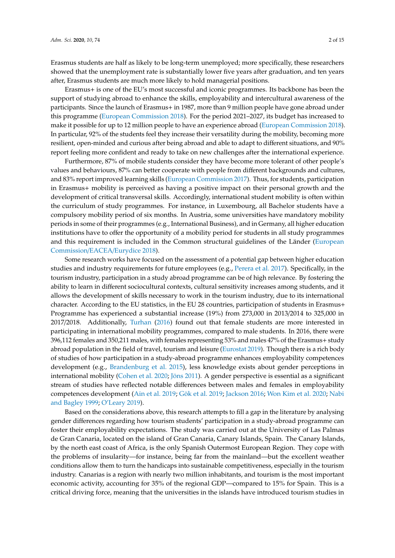Erasmus students are half as likely to be long-term unemployed; more specifically, these researchers showed that the unemployment rate is substantially lower five years after graduation, and ten years after, Erasmus students are much more likely to hold managerial positions.

Erasmus+ is one of the EU's most successful and iconic programmes. Its backbone has been the support of studying abroad to enhance the skills, employability and intercultural awareness of the participants. Since the launch of Erasmus+ in 1987, more than 9 million people have gone abroad under this programme [\(European Commission](#page-12-4) [2018\)](#page-12-4). For the period 2021–2027, its budget has increased to make it possible for up to 12 million people to have an experience abroad [\(European Commission](#page-12-4) [2018\)](#page-12-4). In particular, 92% of the students feel they increase their versatility during the mobility, becoming more resilient, open-minded and curious after being abroad and able to adapt to different situations, and 90% report feeling more confident and ready to take on new challenges after the international experience.

Furthermore, 87% of mobile students consider they have become more tolerant of other people's values and behaviours, 87% can better cooperate with people from different backgrounds and cultures, and 83% report improved learning skills [\(European Commission](#page-12-5) [2017\)](#page-12-5). Thus, for students, participation in Erasmus+ mobility is perceived as having a positive impact on their personal growth and the development of critical transversal skills. Accordingly, international student mobility is often within the curriculum of study programmes. For instance, in Luxembourg, all Bachelor students have a compulsory mobility period of six months. In Austria, some universities have mandatory mobility periods in some of their programmes (e.g., International Business), and in Germany, all higher education institutions have to offer the opportunity of a mobility period for students in all study programmes and this requirement is included in the Common structural guidelines of the Länder [\(European](#page-12-6) [Commission](#page-12-6)/EACEA/Eurydice [2018\)](#page-12-6).

Some research works have focused on the assessment of a potential gap between higher education studies and industry requirements for future employees (e.g., [Perera et al.](#page-13-5) [2017\)](#page-13-5). Specifically, in the tourism industry, participation in a study abroad programme can be of high relevance. By fostering the ability to learn in different sociocultural contexts, cultural sensitivity increases among students, and it allows the development of skills necessary to work in the tourism industry, due to its international character. According to the EU statistics, in the EU 28 countries, participation of students in Erasmus+ Programme has experienced a substantial increase (19%) from 273,000 in 2013/2014 to 325,000 in 2017/2018. Additionally, [Turhan](#page-14-0) [\(2016\)](#page-14-0) found out that female students are more interested in participating in international mobility programmes, compared to male students. In 2016, there were 396,112 females and 350,211 males, with females representing 53% and males 47% of the Erasmus+ study abroad population in the field of travel, tourism and leisure [\(Eurostat](#page-12-7) [2019\)](#page-12-7). Though there is a rich body of studies of how participation in a study-abroad programme enhances employability competences development (e.g., [Brandenburg et al.](#page-11-2) [2015\)](#page-11-2), less knowledge exists about gender perceptions in international mobility [\(Cohen et al.](#page-12-8) [2020;](#page-12-8) [Jöns](#page-13-6) [2011\)](#page-13-6). A gender perspective is essential as a significant stream of studies have reflected notable differences between males and females in employability competences development [\(Ain et al.](#page-11-6) [2019;](#page-11-6) [Gök et al.](#page-12-9) [2019;](#page-12-9) [Jackson](#page-13-7) [2016;](#page-13-7) [Won Kim et al.](#page-14-1) [2020;](#page-14-1) [Nabi](#page-13-8) [and Bagley](#page-13-8) [1999;](#page-13-8) [O'Leary](#page-13-9) [2019\)](#page-13-9).

Based on the considerations above, this research attempts to fill a gap in the literature by analysing gender differences regarding how tourism students' participation in a study-abroad programme can foster their employability expectations. The study was carried out at the University of Las Palmas de Gran Canaria, located on the island of Gran Canaria, Canary Islands, Spain. The Canary Islands, by the north east coast of Africa, is the only Spanish Outermost European Region. They cope with the problems of insularity—for instance, being far from the mainland—but the excellent weather conditions allow them to turn the handicaps into sustainable competitiveness, especially in the tourism industry. Canarias is a region with nearly two million inhabitants, and tourism is the most important economic activity, accounting for 35% of the regional GDP—compared to 15% for Spain. This is a critical driving force, meaning that the universities in the islands have introduced tourism studies in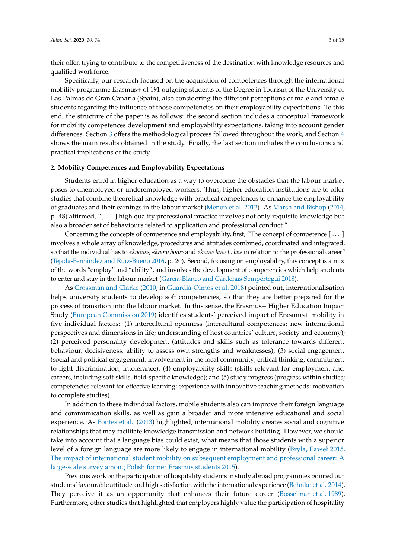their offer, trying to contribute to the competitiveness of the destination with knowledge resources and qualified workforce.

Specifically, our research focused on the acquisition of competences through the international mobility programme Erasmus+ of 191 outgoing students of the Degree in Tourism of the University of Las Palmas de Gran Canaria (Spain), also considering the different perceptions of male and female students regarding the influence of those competencies on their employability expectations. To this end, the structure of the paper is as follows: the second section includes a conceptual framework for mobility competences development and employability expectations, taking into account gender differences. Section [3](#page-4-0) offers the methodological process followed throughout the work, and Section [4](#page-6-0) shows the main results obtained in the study. Finally, the last section includes the conclusions and practical implications of the study.

#### **2. Mobility Competences and Employability Expectations**

Students enrol in higher education as a way to overcome the obstacles that the labour market poses to unemployed or underemployed workers. Thus, higher education institutions are to offer studies that combine theoretical knowledge with practical competences to enhance the employability of graduates and their earnings in the labour market [\(Menon et al.](#page-13-10) [2012\)](#page-13-10). As [Marsh and Bishop](#page-13-0) [\(2014,](#page-13-0) p. 48) affirmed, "[ . . . ] high quality professional practice involves not only requisite knowledge but also a broader set of behaviours related to application and professional conduct."

Concerning the concepts of competence and employability, first, "The concept of competence [ . . . ] involves a whole array of knowledge, procedures and attitudes combined, coordinated and integrated, so that the individual has to *«know»*, *«know how»* and *«know how to be»* in relation to the professional career" (Tejada-Ferná[ndez and Ruiz-Bueno](#page-13-11) [2016,](#page-13-11) p. 20). Second, focusing on employability, this concept is a mix of the words "employ" and "ability", and involves the development of competencies which help students to enter and stay in the labour market (Garcí[a-Blanco and C](#page-12-10)árdenas-Sempértegui [2018\)](#page-12-10).

As [Crossman and Clarke](#page-12-1) [\(2010,](#page-12-1) in Guardià[-Olmos et al.](#page-12-11) [2018\)](#page-12-11) pointed out, internationalisation helps university students to develop soft competencies, so that they are better prepared for the process of transition into the labour market. In this sense, the Erasmus+ Higher Education Impact Study [\(European Commission](#page-12-12) [2019\)](#page-12-12) identifies students' perceived impact of Erasmus+ mobility in five individual factors: (1) intercultural openness (intercultural competences; new international perspectives and dimensions in life; understanding of host countries' culture, society and economy); (2) perceived personality development (attitudes and skills such as tolerance towards different behaviour, decisiveness, ability to assess own strengths and weaknesses); (3) social engagement (social and political engagement; involvement in the local community; critical thinking; commitment to fight discrimination, intolerance); (4) employability skills (skills relevant for employment and careers, including soft-skills, field-specific knowledge); and (5) study progress (progress within studies; competencies relevant for effective learning; experience with innovative teaching methods; motivation to complete studies).

In addition to these individual factors, mobile students also can improve their foreign language and communication skills, as well as gain a broader and more intensive educational and social experience. As [Fontes et al.](#page-12-13) [\(2013\)](#page-12-13) highlighted, international mobility creates social and cognitive relationships that may facilitate knowledge transmission and network building. However, we should take into account that a language bias could exist, what means that those students with a superior level of a foreign language are more likely to engage in international mobility [\(Bryła, Paweł 2015.](#page-11-3) [The impact of international student mobility on subsequent employment and professional career: A](#page-11-3) [large-scale survey among Polish former Erasmus students](#page-11-3) [2015\)](#page-11-3).

Previous work on the participation of hospitality students in study abroad programmes pointed out students' favourable attitude and high satisfaction with the international experience [\(Behnke et al.](#page-11-7) [2014\)](#page-11-7). They perceive it as an opportunity that enhances their future career [\(Bosselman et al.](#page-11-8) [1989\)](#page-11-8). Furthermore, other studies that highlighted that employers highly value the participation of hospitality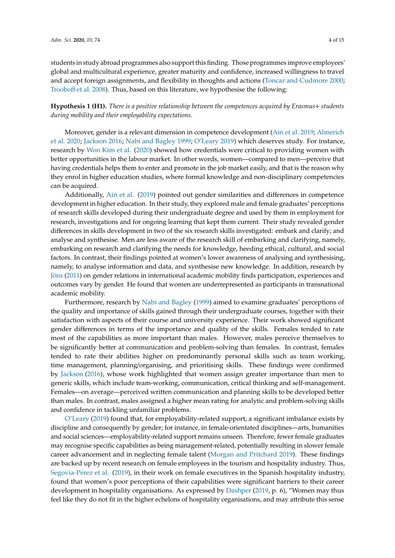students in study abroad programmes also support this finding. Those programmes improve employees' global and multicultural experience, greater maturity and confidence, increased willingness to travel and accept foreign assignments, and flexibility in thoughts and actions [\(Toncar and Cudmore](#page-14-2) [2000;](#page-14-2) [Troobo](#page-14-3)ff et al. [2008\)](#page-14-3). Thus, based on this literature, we hypothesise the following:

**Hypothesis 1 (H1).** *There is a positive relationship between the competences acquired by Erasmus*+ *students during mobility and their employability expectations.*

Moreover, gender is a relevant dimension in competence development [\(Ain et al.](#page-11-6) [2019;](#page-11-6) [Almerich](#page-11-9) [et al.](#page-11-9) [2020;](#page-11-9) [Jackson](#page-13-7) [2016;](#page-13-7) [Nabi and Bagley](#page-13-8) [1999;](#page-13-8) [O'Leary](#page-13-9) [2019\)](#page-13-9) which deserves study. For instance, research by [Won Kim et al.](#page-14-1) [\(2020\)](#page-14-1) showed how credentials were critical to providing women with better opportunities in the labour market. In other words, women—compared to men—perceive that having credentials helps them to enter and promote in the job market easily, and that is the reason why they enrol in higher education studies, where formal knowledge and non-disciplinary competencies can be acquired.

Additionally, [Ain et al.](#page-11-6) [\(2019\)](#page-11-6) pointed out gender similarities and differences in competence development in higher education. In their study, they explored male and female graduates' perceptions of research skills developed during their undergraduate degree and used by them in employment for research, investigations and for ongoing learning that kept them current. Their study revealed gender differences in skills development in two of the six research skills investigated: embark and clarify; and analyse and synthesise. Men are less aware of the research skill of embarking and clarifying, namely, embarking on research and clarifying the needs for knowledge, heeding ethical, cultural, and social factors. In contrast, their findings pointed at women's lower awareness of analysing and synthesising, namely, to analyse information and data, and synthesise new knowledge. In addition, research by [Jöns](#page-13-6) [\(2011\)](#page-13-6) on gender relations in international academic mobility finds participation, experiences and outcomes vary by gender. He found that women are underrepresented as participants in transnational academic mobility.

Furthermore, research by [Nabi and Bagley](#page-13-8) [\(1999\)](#page-13-8) aimed to examine graduates' perceptions of the quality and importance of skills gained through their undergraduate courses, together with their satisfaction with aspects of their course and university experience. Their work showed significant gender differences in terms of the importance and quality of the skills. Females tended to rate most of the capabilities as more important than males. However, males perceive themselves to be significantly better at communication and problem-solving than females. In contrast, females tended to rate their abilities higher on predominantly personal skills such as team working, time management, planning/organising, and prioritising skills. These findings were confirmed by [Jackson](#page-13-7) [\(2016\)](#page-13-7), whose work highlighted that women assign greater importance than men to generic skills, which include team-working, communication, critical thinking and self-management. Females—on average—perceived written communication and planning skills to be developed better than males. In contrast, males assigned a higher mean rating for analytic and problem-solving skills and confidence in tackling unfamiliar problems.

[O'Leary](#page-13-9) [\(2019\)](#page-13-9) found that, for employability-related support, a significant imbalance exists by discipline and consequently by gender; for instance, in female-orientated disciplines—arts, humanities and social sciences—employability-related support remains unseen. Therefore, fewer female graduates may recognise specific capabilities as being management-related, potentially resulting in slower female career advancement and in neglecting female talent [\(Morgan and Pritchard](#page-13-12) [2019\)](#page-13-12). These findings are backed up by recent research on female employees in the tourism and hospitality industry. Thus, [Segovia-P](#page-13-13)érez et al. [\(2019\)](#page-13-13), in their work on female executives in the Spanish hospitality industry, found that women's poor perceptions of their capabilities were significant barriers to their career development in hospitality organisations. As expressed by [Dashper](#page-12-14) [\(2019,](#page-12-14) p. 6), "Women may thus feel like they do not fit in the higher echelons of hospitality organisations, and may attribute this sense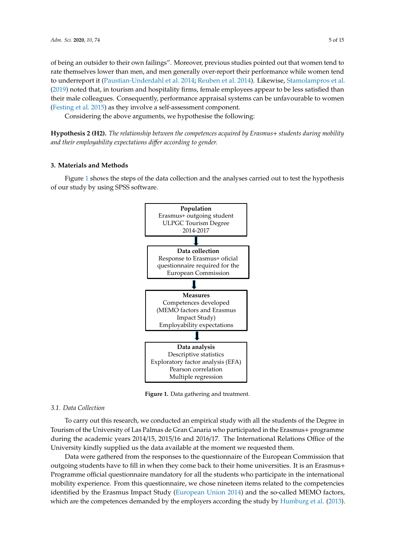of being an outsider to their own failings". Moreover, previous studies pointed out that women tend to rate themselves lower than men, and men generally over-report their performance while women tend to underreport it [\(Paustian-Underdahl et al.](#page-13-14) [2014;](#page-13-14) [Reuben et al.](#page-13-15) [2014\)](#page-13-15). Likewise, [Stamolampros et al.](#page-13-16) [\(2019\)](#page-13-16) noted that, in tourism and hospitality firms, female employees appear to be less satisfied than their male colleagues. Consequently, performance appraisal systems can be unfavourable to women [\(Festing et al.](#page-12-15) [2015\)](#page-12-15) as they involve a self-assessment component.

Considering the above arguments, we hypothesise the following:

**Hypothesis 2 (H2).** *The relationship between the competences acquired by Erasmus*+ *students during mobility* and their employability expectations differ according to gender.

## <span id="page-4-0"></span>**3. Materials and Methods 3. Materials and Methods**

<span id="page-4-1"></span>Figure [1](#page-4-1) shows the steps of the data collection and the analyses carried out to test the hypothesis Figure 1 shows the steps of the data collection and the analyses carried out to test the hypothesis of our study by using SPSS software. of our study by using SPSS software.



**Figure 1.** Data gathering and treatment. **Figure 1.** Data gathering and treatment.

### *3.1. Data Collection 3.1. Data Collection*

To carry out this research, we conducted an empirical study with all the students of the Degree To carry out this research, we conducted an empirical study with all the students of the Degree in in Tourism of the University of Las Palmas de Gran Canaria who participated in the Erasmus+ Tourism of the University of Las Palmas de Gran Canaria who participated in the Erasmus+ programme during the academic years 2014/15, 2015/16 and 2016/17. The International Relations Office of the University kindly supplied us the data available at the moment we requested them.

Data were gathered from the responses to the questionnaire of the European Commission that Data were gathered from the responses to the questionnaire of the European Commission that outgoing students have to fill in when they come back to their home universities. It is an Erasmus+ outgoing students have to fill in when they come back to their home universities. It is an Erasmus+ Programme official questionnaire mandatory for all the students who participate in the international Programme official questionnaire mandatory for all the students who participate in the international mobility experience. From this questionnaire, we chose nineteen items related to the competencies mobility experience. From this questionnaire, we chose nineteen items related to the competencies identified by the Erasmus Impact Study (European Union 2014) and the so-called MEMO factors, identified by the Erasmus Impact Study [\(European Union](#page-12-16) [2014\)](#page-12-16) and the so-called MEMO factors, which are the competences demanded by the employers according the study by Humburg et al. which are the competences demanded by the employers according the study by [Humburg et al.](#page-13-1) [\(2013\)](#page-13-1).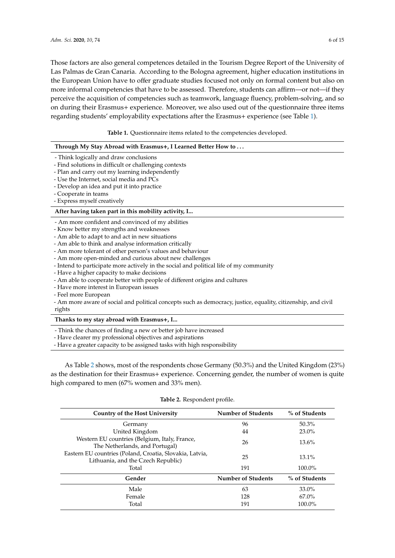Those factors are also general competences detailed in the Tourism Degree Report of the University of Las Palmas de Gran Canaria. According to the Bologna agreement, higher education institutions in the European Union have to offer graduate studies focused not only on formal content but also on more informal competencies that have to be assessed. Therefore, students can affirm—or not—if they perceive the acquisition of competencies such as teamwork, language fluency, problem-solving, and so on during their Erasmus+ experience. Moreover, we also used out of the questionnaire three items regarding students' employability expectations after the Erasmus+ experience (see Table [1\)](#page-5-0).

**Table 1.** Questionnaire items related to the competencies developed.

<span id="page-5-0"></span>

| Through My Stay Abroad with Erasmus+, I Learned Better How to                                                 |
|---------------------------------------------------------------------------------------------------------------|
| - Think logically and draw conclusions                                                                        |
| - Find solutions in difficult or challenging contexts                                                         |
| - Plan and carry out my learning independently                                                                |
| - Use the Internet, social media and PCs                                                                      |
| - Develop an idea and put it into practice                                                                    |
| - Cooperate in teams                                                                                          |
| - Express myself creatively                                                                                   |
| After having taken part in this mobility activity, I                                                          |
| - Am more confident and convinced of my abilities                                                             |
| - Know better my strengths and weaknesses                                                                     |
| - Am able to adapt to and act in new situations                                                               |
| - Am able to think and analyse information critically                                                         |
| - Am more tolerant of other person's values and behaviour                                                     |
| - Am more open-minded and curious about new challenges                                                        |
| - Intend to participate more actively in the social and political life of my community                        |
| - Have a higher capacity to make decisions                                                                    |
| - Am able to cooperate better with people of different origins and cultures                                   |
| - Have more interest in European issues                                                                       |
| - Feel more European                                                                                          |
| - Am more aware of social and political concepts such as democracy, justice, equality, citizenship, and civil |
| rights                                                                                                        |
| Thanks to my stay abroad with Erasmus+, I                                                                     |
| - Think the chances of finding a new or better job have increased                                             |
| - Have clearer my professional objectives and aspirations                                                     |

- Have a greater capacity to be assigned tasks with high responsibility

As Table [2](#page-5-1) shows, most of the respondents chose Germany (50.3%) and the United Kingdom (23%) as the destination for their Erasmus+ experience. Concerning gender, the number of women is quite high compared to men (67% women and 33% men).

#### **Table 2.** Respondent profile.

<span id="page-5-1"></span>

| <b>Country of the Host University</b>                                                          | <b>Number of Students</b> | % of Students |
|------------------------------------------------------------------------------------------------|---------------------------|---------------|
| Germany                                                                                        | 96                        | $50.3\%$      |
| United Kingdom                                                                                 | 44                        | $23.0\%$      |
| Western EU countries (Belgium, Italy, France,<br>The Netherlands, and Portugal)                | 26                        | $13.6\%$      |
| Eastern EU countries (Poland, Croatia, Slovakia, Latvia,<br>Lithuania, and the Czech Republic) | 25                        | $13.1\%$      |
| Total                                                                                          | 191                       | $100.0\%$     |
| Gender                                                                                         | <b>Number of Students</b> | % of Students |
| Male                                                                                           | 63                        | $33.0\%$      |
| Female                                                                                         | 128                       | 67.0%         |
| Total                                                                                          | 191                       | 100.0%        |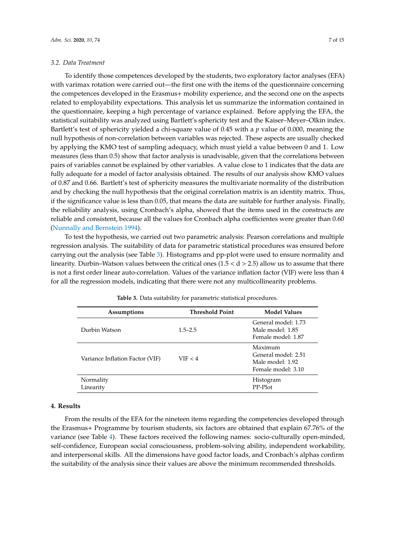#### *3.2. Data Treatment*

To identify those competences developed by the students, two exploratory factor analyses (EFA) with varimax rotation were carried out—the first one with the items of the questionnaire concerning the competences developed in the Erasmus+ mobility experience, and the second one on the aspects related to employability expectations. This analysis let us summarize the information contained in the questionnaire, keeping a high percentage of variance explained. Before applying the EFA, the statistical suitability was analyzed using Bartlett's sphericity test and the Kaiser–Meyer–Olkin index. Bartlett's test of sphericity yielded a chi-square value of 0.45 with a *p* value of 0.000, meaning the null hypothesis of non-correlation between variables was rejected. These aspects are usually checked by applying the KMO test of sampling adequacy, which must yield a value between 0 and 1. Low measures (less than 0.5) show that factor analysis is unadvisable, given that the correlations between pairs of variables cannot be explained by other variables. A value close to 1 indicates that the data are fully adequate for a model of factor analysisis obtained. The results of our analysis show KMO values of 0.87 and 0.66. Bartlett's test of sphericity measures the multivariate normality of the distribution and by checking the null hypothesis that the original correlation matrix is an identity matrix. Thus, if the significance value is less than 0.05, that means the data are suitable for further analysis. Finally, the reliability analysis, using Cronbach's alpha, showed that the items used in the constructs are reliable and consistent, because all the values for Cronbach alpha coefficientes were greater than 0.60 [\(Nunnally and Bernstein](#page-13-17) [1994\)](#page-13-17).

To test the hypothesis, we carried out two parametric analysis: Pearson correlations and multiple regression analysis. The suitability of data for parametric statistical procedures was ensured before carrying out the analysis (see Table [3\)](#page-6-1). Histograms and pp-plot were used to ensure normality and linearity. Durbin–Watson values between the critical ones  $(1.5 < d > 2.5)$  allow us to assume that there is not a first order linear auto-correlation. Values of the variance inflation factor (VIF) were less than 4 for all the regression models, indicating that there were not any multicollinearity problems.

<span id="page-6-1"></span>

| Assumptions                     | <b>Threshold Point</b> | <b>Model Values</b>                                                      |
|---------------------------------|------------------------|--------------------------------------------------------------------------|
| Durbin Watson                   | $1.5 - 2.5$            | General model: 1.73<br>Male model: 1.85<br>Female model: 1.87            |
| Variance Inflation Factor (VIF) | VIF < 4                | Maximum<br>General model: 2.51<br>Male model: 1.92<br>Female model: 3.10 |
| Normality<br>Linearity          |                        | Histogram<br>PP-Plot                                                     |

**Table 3.** Data suitability for parametric statistical procedures.

#### <span id="page-6-0"></span>**4. Results**

From the results of the EFA for the nineteen items regarding the competencies developed through the Erasmus+ Programme by tourism students, six factors are obtained that explain 67.76% of the variance (see Table [4\)](#page-7-0). These factors received the following names: socio-culturally open-minded, self-confidence, European social consciousness, problem-solving ability, independent workability, and interpersonal skills. All the dimensions have good factor loads, and Cronbach's alphas confirm the suitability of the analysis since their values are above the minimum recommended thresholds.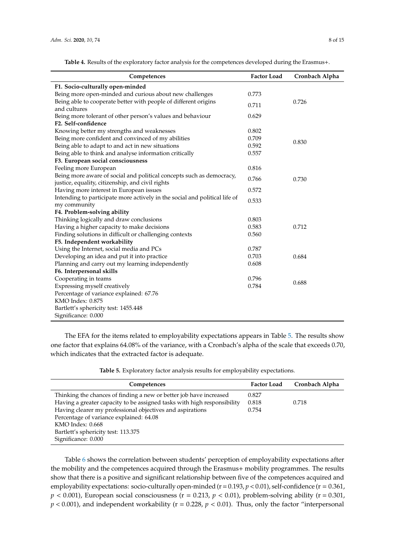<span id="page-7-0"></span>**Table 4.** Results of the exploratory factor analysis for the competences developed during the Erasmus+.

| Competences                                                                                                              | <b>Factor Load</b> | Cronbach Alpha |
|--------------------------------------------------------------------------------------------------------------------------|--------------------|----------------|
| F1. Socio-culturally open-minded                                                                                         |                    |                |
| Being more open-minded and curious about new challenges                                                                  | 0.773              |                |
| Being able to cooperate better with people of different origins<br>and cultures                                          | 0.711              | 0.726          |
| Being more tolerant of other person's values and behaviour                                                               | 0.629              |                |
| F2. Self-confidence                                                                                                      |                    |                |
| Knowing better my strengths and weaknesses                                                                               | 0.802              |                |
| Being more confident and convinced of my abilities                                                                       | 0.709              | 0.830          |
| Being able to adapt to and act in new situations                                                                         | 0.592              |                |
| Being able to think and analyse information critically                                                                   | 0.557              |                |
| F3. European social consciousness                                                                                        |                    |                |
| Feeling more European                                                                                                    | 0.816              |                |
| Being more aware of social and political concepts such as democracy,<br>justice, equality, citizenship, and civil rights | 0.766              | 0.730          |
| Having more interest in European issues                                                                                  | 0.572              |                |
| Intending to participate more actively in the social and political life of<br>my community                               | 0.533              |                |
| F4. Problem-solving ability                                                                                              |                    |                |
| Thinking logically and draw conclusions                                                                                  | 0.803              |                |
| Having a higher capacity to make decisions                                                                               | 0.583              | 0.712          |
| Finding solutions in difficult or challenging contexts                                                                   | 0.560              |                |
| F5. Independent workability                                                                                              |                    |                |
| Using the Internet, social media and PCs                                                                                 | 0.787              |                |
| Developing an idea and put it into practice                                                                              | 0.703              | 0.684          |
| Planning and carry out my learning independently                                                                         | 0.608              |                |
| F6. Interpersonal skills                                                                                                 |                    |                |
| Cooperating in teams                                                                                                     | 0.796              |                |
| Expressing myself creatively                                                                                             | 0.784              | 0.688          |
| Percentage of variance explained: 67.76                                                                                  |                    |                |
| KMO Index: 0.875                                                                                                         |                    |                |
| Bartlett's sphericity test: 1455.448                                                                                     |                    |                |
| Significance: 0.000                                                                                                      |                    |                |

The EFA for the items related to employability expectations appears in Table [5.](#page-7-1) The results show one factor that explains 64.08% of the variance, with a Cronbach's alpha of the scale that exceeds 0.70, which indicates that the extracted factor is adequate.

<span id="page-7-1"></span>

| <b>Factor Load</b> | Cronbach Alpha |
|--------------------|----------------|
| 0.827              |                |
| 0.818              | 0.718          |
| 0.754              |                |
|                    |                |
|                    |                |
|                    |                |
|                    |                |
|                    |                |

**Table 5.** Exploratory factor analysis results for employability expectations.

Table [6](#page-8-0) shows the correlation between students' perception of employability expectations after the mobility and the competences acquired through the Erasmus+ mobility programmes. The results show that there is a positive and significant relationship between five of the competences acquired and employability expectations: socio-culturally open-minded ( $r = 0.193$ ,  $p < 0.01$ ), self-confidence ( $r = 0.361$ ,  $p < 0.001$ ), European social consciousness (r = 0.213,  $p < 0.01$ ), problem-solving ability (r = 0.301,  $p$  < 0.001), and independent workability ( $r = 0.228$ ,  $p$  < 0.01). Thus, only the factor "interpersonal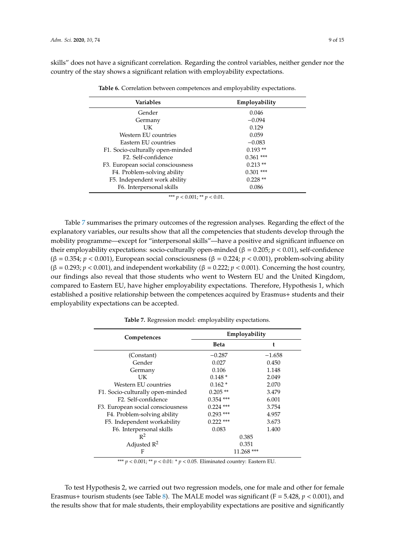<span id="page-8-0"></span>skills" does not have a significant correlation. Regarding the control variables, neither gender nor the country of the stay shows a significant relation with employability expectations.

| <b>Variables</b>                  | Employability |
|-----------------------------------|---------------|
| Gender                            | 0.046         |
| Germany                           | $-0.094$      |
| UK                                | 0.129         |
| Western EU countries              | 0.059         |
| Eastern EU countries              | $-0.083$      |
| F1. Socio-culturally open-minded  | $0.193**$     |
| F <sub>2</sub> . Self-confidence  | $0.361$ ***   |
| F3. European social consciousness | $0.213**$     |
| F4. Problem-solving ability       | $0.301$ ***   |
| F5. Independent work ability      | $0.228**$     |
| F6. Interpersonal skills          | 0.086         |

**Table 6.** Correlation between competences and employability expectations.

\*\*\* *p* < 0.001; \*\* *p* < 0.01.

Table [7](#page-8-1) summarises the primary outcomes of the regression analyses. Regarding the effect of the explanatory variables, our results show that all the competencies that students develop through the mobility programme—except for "interpersonal skills"—have a positive and significant influence on their employability expectations: socio-culturally open-minded ( $β = 0.205; p < 0.01$ ), self-confidence (β = 0.354; *p* < 0.001), European social consciousness (β = 0.224; *p* < 0.001), problem-solving ability (β = 0.293; *p* < 0.001), and independent workability (β = 0.222; *p* < 0.001). Concerning the host country, our findings also reveal that those students who went to Western EU and the United Kingdom, compared to Eastern EU, have higher employability expectations. Therefore, Hypothesis 1, which established a positive relationship between the competences acquired by Erasmus+ students and their employability expectations can be accepted.

<span id="page-8-1"></span>

| Competences                       | Employability |          |  |
|-----------------------------------|---------------|----------|--|
|                                   | Beta          | t        |  |
| (Constant)                        | $-0.287$      | $-1.658$ |  |
| Gender                            | 0.027         | 0.450    |  |
| Germany                           | 0.106         | 1.148    |  |
| UK                                | $0.148*$      | 2.049    |  |
| Western EU countries              | $0.162*$      | 2.070    |  |
| F1. Socio-culturally open-minded  | $0.205$ **    | 3.479    |  |
| F <sub>2</sub> . Self-confidence  | $0.354$ ***   | 6.001    |  |
| F3. European social consciousness | $0.224$ ***   | 3.754    |  |
| F4. Problem-solving ability       | $0.293$ ***   | 4.957    |  |
| F5. Independent workability       | $0.222$ ***   | 3.673    |  |
| F6. Interpersonal skills          | 0.083         | 1.400    |  |
| $R^2$                             | 0.385         |          |  |
| Adjusted $R^2$                    | 0.351         |          |  |
| F                                 | $11.268$ ***  |          |  |

**Table 7.** Regression model: employability expectations.

\*\*\*  $p < 0.001$ : \*\*  $p < 0.01$ : \*  $p < 0.05$ . Eliminated country: Eastern EU.

To test Hypothesis 2, we carried out two regression models, one for male and other for female Erasmus+ tourism students (see Table [8\)](#page-9-0). The MALE model was significant (F = 5.428, *p* < 0.001), and the results show that for male students, their employability expectations are positive and significantly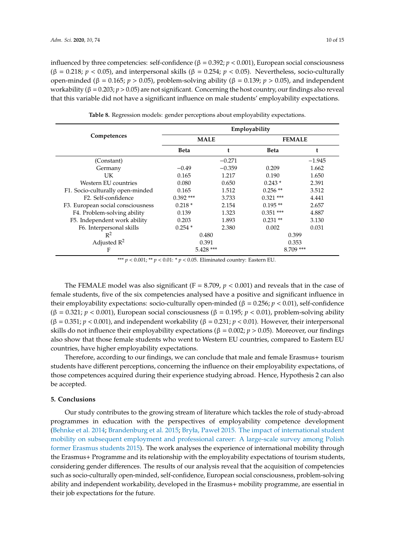influenced by three competencies: self-confidence ( $β = 0.392; p < 0.001$ ), European social consciousness (β = 0.218; *p* < 0.05), and interpersonal skills (β = 0.254; *p* < 0.05). Nevertheless, socio-culturally open-minded (β = 0.165; *p* > 0.05), problem-solving ability (β = 0.139; *p* > 0.05), and independent workability (β = 0.203; *p* > 0.05) are not significant. Concerning the host country, our findings also reveal that this variable did not have a significant influence on male students' employability expectations.

<span id="page-9-0"></span>

|                                   | Employability |          |               |          |  |
|-----------------------------------|---------------|----------|---------------|----------|--|
| Competences                       | <b>MALE</b>   |          | <b>FEMALE</b> |          |  |
|                                   | <b>Beta</b>   | t        | <b>Beta</b>   |          |  |
| (Constant)                        |               | $-0.271$ |               | $-1.945$ |  |
| Germany                           | $-0.49$       | $-0.359$ | 0.209         | 1.662    |  |
| UK                                | 0.165         | 1.217    | 0.190         | 1.650    |  |
| Western EU countries              | 0.080         | 0.650    | $0.243*$      | 2.391    |  |
| F1. Socio-culturally open-minded  | 0.165         | 1.512    | $0.256$ **    | 3.512    |  |
| F <sub>2</sub> . Self-confidence  | $0.392$ ***   | 3.733    | $0.321$ ***   | 4.441    |  |
| F3. European social consciousness | $0.218*$      | 2.154    | $0.195**$     | 2.657    |  |
| F4. Problem-solving ability       | 0.139         | 1.323    | $0.351$ ***   | 4.887    |  |
| F5. Independent work ability      | 0.203         | 1.893    | $0.231**$     | 3.130    |  |
| F6. Interpersonal skills          | $0.254*$      | 2.380    | 0.002         | 0.031    |  |
| $R^2$                             | 0.480         |          | 0.399         |          |  |
| Adjusted $R^2$                    | 0.391         |          | 0.353         |          |  |
| F                                 | $5.428$ ***   |          | $8.709$ ***   |          |  |

**Table 8.** Regression models: gender perceptions about employability expectations.

\*\*\*  $p < 0.001$ ; \*\*  $p < 0.01$ : \*  $p < 0.05$ . Eliminated country: Eastern EU.

The FEMALE model was also significant ( $F = 8.709$ ,  $p < 0.001$ ) and reveals that in the case of female students, five of the six competencies analysed have a positive and significant influence in their employability expectations: socio-culturally open-minded (β = 0.256; *p* < 0.01), self-confidence (β = 0.321; *p* < 0.001), European social consciousness (β = 0.195; *p* < 0.01), problem-solving ability (β = 0.351; *p* < 0.001), and independent workability (β = 0.231; *p* < 0.01). However, their interpersonal skills do not influence their employability expectations ( $β = 0.002$ ;  $p > 0.05$ ). Moreover, our findings also show that those female students who went to Western EU countries, compared to Eastern EU countries, have higher employability expectations.

Therefore, according to our findings, we can conclude that male and female Erasmus+ tourism students have different perceptions, concerning the influence on their employability expectations, of those competences acquired during their experience studying abroad. Hence, Hypothesis 2 can also be accepted.

#### **5. Conclusions**

Our study contributes to the growing stream of literature which tackles the role of study-abroad programmes in education with the perspectives of employability competence development [\(Behnke et al.](#page-11-7) [2014;](#page-11-7) [Brandenburg et al.](#page-11-2) [2015;](#page-11-2) [Bryła, Paweł 2015. The impact of international student](#page-11-3) [mobility on subsequent employment and professional career: A large-scale survey among Polish](#page-11-3) [former Erasmus students](#page-11-3) [2015\)](#page-11-3). The work analyses the experience of international mobility through the Erasmus+ Programme and its relationship with the employability expectations of tourism students, considering gender differences. The results of our analysis reveal that the acquisition of competencies such as socio-culturally open-minded, self-confidence, European social consciousness, problem-solving ability and independent workability, developed in the Erasmus+ mobility programme, are essential in their job expectations for the future.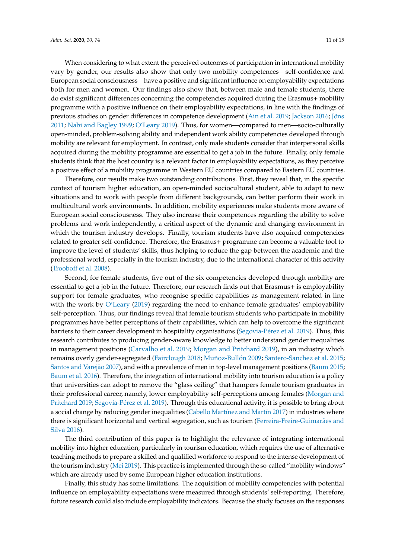When considering to what extent the perceived outcomes of participation in international mobility vary by gender, our results also show that only two mobility competences—self-confidence and European social consciousness—have a positive and significant influence on employability expectations both for men and women. Our findings also show that, between male and female students, there do exist significant differences concerning the competencies acquired during the Erasmus+ mobility programme with a positive influence on their employability expectations, in line with the findings of previous studies on gender differences in competence development [\(Ain et al.](#page-11-6) [2019;](#page-11-6) [Jackson](#page-13-7) [2016;](#page-13-7) [Jöns](#page-13-6) [2011;](#page-13-6) [Nabi and Bagley](#page-13-8) [1999;](#page-13-8) [O'Leary](#page-13-9) [2019\)](#page-13-9). Thus, for women—compared to men—socio-culturally open-minded, problem-solving ability and independent work ability competencies developed through mobility are relevant for employment. In contrast, only male students consider that interpersonal skills acquired during the mobility programme are essential to get a job in the future. Finally, only female students think that the host country is a relevant factor in employability expectations, as they perceive a positive effect of a mobility programme in Western EU countries compared to Eastern EU countries.

Therefore, our results make two outstanding contributions. First, they reveal that, in the specific context of tourism higher education, an open-minded sociocultural student, able to adapt to new situations and to work with people from different backgrounds, can better perform their work in multicultural work environments. In addition, mobility experiences make students more aware of European social consciousness. They also increase their competences regarding the ability to solve problems and work independently, a critical aspect of the dynamic and changing environment in which the tourism industry develops. Finally, tourism students have also acquired competencies related to greater self-confidence. Therefore, the Erasmus+ programme can become a valuable tool to improve the level of students' skills, thus helping to reduce the gap between the academic and the professional world, especially in the tourism industry, due to the international character of this activity [\(Troobo](#page-14-3)ff et al. [2008\)](#page-14-3).

Second, for female students, five out of the six competencies developed through mobility are essential to get a job in the future. Therefore, our research finds out that Erasmus+ is employability support for female graduates, who recognise specific capabilities as management-related in line with the work by [O'Leary](#page-13-9) [\(2019\)](#page-13-9) regarding the need to enhance female graduates' employability self-perception. Thus, our findings reveal that female tourism students who participate in mobility programmes have better perceptions of their capabilities, which can help to overcome the significant barriers to their career development in hospitality organisations [\(Segovia-P](#page-13-13)érez et al. [2019\)](#page-13-13). Thus, this research contributes to producing gender-aware knowledge to better understand gender inequalities in management positions [\(Carvalho et al.](#page-11-10) [2019;](#page-11-10) [Morgan and Pritchard](#page-13-12) [2019\)](#page-13-12), in an industry which remains overly gender-segregated [\(Fairclough](#page-12-17) [2018;](#page-12-17) [Muñoz-Bull](#page-13-18)ón [2009;](#page-13-18) [Santero-Sanchez et al.](#page-13-19) [2015;](#page-13-19) [Santos and Varej](#page-13-20)ão [2007\)](#page-13-20), and with a prevalence of men in top-level management positions [\(Baum](#page-11-11) [2015;](#page-11-11) [Baum et al.](#page-11-12) [2016\)](#page-11-12). Therefore, the integration of international mobility into tourism education is a policy that universities can adopt to remove the "glass ceiling" that hampers female tourism graduates in their professional career, namely, lower employability self-perceptions among females [\(Morgan and](#page-13-12) [Pritchard](#page-13-12) [2019;](#page-13-12) [Segovia-P](#page-13-13)érez et al. [2019\)](#page-13-13). Through this educational activity, it is possible to bring about a social change by reducing gender inequalities [\(Cabello Mart](#page-11-13)ínez and Martín [2017\)](#page-11-13) in industries where there is significant horizontal and vertical segregation, such as tourism [\(Ferreira-Freire-Guimar](#page-12-18)ães and [Silva](#page-12-18) [2016\)](#page-12-18).

The third contribution of this paper is to highlight the relevance of integrating international mobility into higher education, particularly in tourism education, which requires the use of alternative teaching methods to prepare a skilled and qualified workforce to respond to the intense development of the tourism industry [\(Mei](#page-13-21) [2019\)](#page-13-21). This practice is implemented through the so-called "mobility windows" which are already used by some European higher education institutions.

Finally, this study has some limitations. The acquisition of mobility competencies with potential influence on employability expectations were measured through students' self-reporting. Therefore, future research could also include employability indicators. Because the study focuses on the responses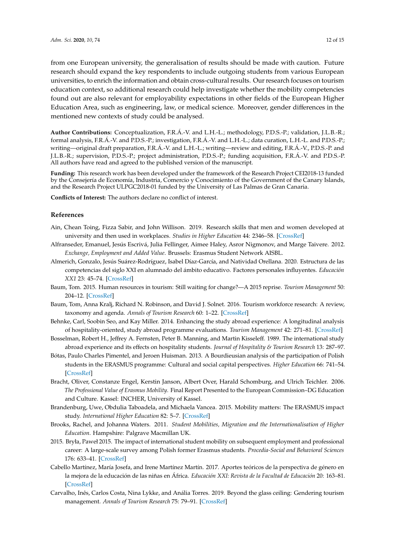from one European university, the generalisation of results should be made with caution. Future research should expand the key respondents to include outgoing students from various European universities, to enrich the information and obtain cross-cultural results. Our research focuses on tourism education context, so additional research could help investigate whether the mobility competencies found out are also relevant for employability expectations in other fields of the European Higher Education Area, such as engineering, law, or medical science. Moreover, gender differences in the mentioned new contexts of study could be analysed.

**Author Contributions:** Conceptualization, F.R.Á.-V. and L.H.-L.; methodology, P.D.S.-P.; validation, J.L.B.-R.; formal analysis, F.R.Á.-V. and P.D.S.-P.; investigation, F.R.Á.-V. and L.H.-L.; data curation, L.H.-L. and P.D.S.-P.; writing—original draft preparation, F.R.Á.-V. and L.H.-L.; writing—review and editing, F.R.Á.-V., P.D.S.-P. and J.L.B.-R.; supervision, P.D.S.-P.; project administration, P.D.S.-P.; funding acquisition, F.R.Á.-V. and P.D.S.-P. All authors have read and agreed to the published version of the manuscript.

**Funding:** This research work has been developed under the framework of the Research Project CEI2018-13 funded by the Consejería de Economía, Industria, Comercio y Conocimiento of the Government of the Canary Islands, and the Research Project ULPGC2018-01 funded by the University of Las Palmas de Gran Canaria.

**Conflicts of Interest:** The authors declare no conflict of interest.

#### **References**

- <span id="page-11-6"></span>Ain, Chean Toing, Fizza Sabir, and John Willison. 2019. Research skills that men and women developed at university and then used in workplaces. *Studies in Higher Education* 44: 2346–58. [\[CrossRef\]](http://dx.doi.org/10.1080/03075079.2018.1496412)
- <span id="page-11-5"></span>Alfranseder, Emanuel, Jesús Escrivá, Julia Fellinger, Aimee Haley, Asror Nigmonov, and Marge Taivere. 2012. *Exchange, Employment and Added Value*. Brussels: Erasmus Student Network AISBL.
- <span id="page-11-9"></span>Almerich, Gonzalo, Jesús Suárez-Rodríguez, Isabel Díaz-García, and Natividad Orellana. 2020. Estructura de las competencias del siglo XXI en alumnado del ámbito educativo. Factores personales influyentes. *Educación XX1* 23: 45–74. [\[CrossRef\]](http://dx.doi.org/10.5944/educxx1.23853)
- <span id="page-11-11"></span>Baum, Tom. 2015. Human resources in tourism: Still waiting for change?—A 2015 reprise. *Tourism Management* 50: 204–12. [\[CrossRef\]](http://dx.doi.org/10.1016/j.tourman.2015.02.001)
- <span id="page-11-12"></span>Baum, Tom, Anna Kralj, Richard N. Robinson, and David J. Solnet. 2016. Tourism workforce research: A review, taxonomy and agenda. *Annals of Tourism Research* 60: 1–22. [\[CrossRef\]](http://dx.doi.org/10.1016/j.annals.2016.04.003)
- <span id="page-11-7"></span>Behnke, Carl, Soobin Seo, and Kay Miller. 2014. Enhancing the study abroad experience: A longitudinal analysis of hospitality-oriented, study abroad programme evaluations. *Tourism Management* 42: 271–81. [\[CrossRef\]](http://dx.doi.org/10.1016/j.tourman.2013.12.010)
- <span id="page-11-8"></span>Bosselman, Robert H., Jeffrey A. Fernsten, Peter B. Manning, and Martin Kisseleff. 1989. The international study abroad experience and its effects on hospitality students. *Journal of Hospitality & Tourism Research* 13: 287–97.
- <span id="page-11-0"></span>Bótas, Paulo Charles Pimentel, and Jeroen Huisman. 2013. A Bourdieusian analysis of the participation of Polish students in the ERASMUS programme: Cultural and social capital perspectives. *Higher Education* 66: 741–54. [\[CrossRef\]](http://dx.doi.org/10.1007/s10734-013-9635-7)
- <span id="page-11-1"></span>Bracht, Oliver, Constanze Engel, Kerstin Janson, Albert Over, Harald Schomburg, and Ulrich Teichler. 2006. *The Professional Value of Erasmus Mobility*. Final Report Presented to the European Commission–DG Education and Culture. Kassel: INCHER, University of Kassel.
- <span id="page-11-2"></span>Brandenburg, Uwe, Obdulia Taboadela, and Michaela Vancea. 2015. Mobility matters: The ERASMUS impact study. *International Higher Education* 82: 5–7. [\[CrossRef\]](http://dx.doi.org/10.6017/ihe.2015.82.8863)
- <span id="page-11-4"></span>Brooks, Rachel, and Johanna Waters. 2011. *Student Mobilities, Migration and the Internationalisation of Higher Education*. Hampshire: Palgrave Macmillan UK.
- <span id="page-11-3"></span>2015. Bryła, Paweł 2015. The impact of international student mobility on subsequent employment and professional career: A large-scale survey among Polish former Erasmus students. *Procedia-Social and Behavioral Sciences* 176: 633–41. [\[CrossRef\]](http://dx.doi.org/10.1016/j.sbspro.2015.01.521)
- <span id="page-11-13"></span>Cabello Martínez, María Josefa, and Irene Martínez Martín. 2017. Aportes teóricos de la perspectiva de género en la mejora de la educación de las niñas en África. *Educación XXI: Revista de la Facultad de Educación* 20: 163–81. [\[CrossRef\]](http://dx.doi.org/10.5944/educxx1.17507)
- <span id="page-11-10"></span>Carvalho, Inês, Carlos Costa, Nina Lykke, and Anália Torres. 2019. Beyond the glass ceiling: Gendering tourism management. *Annals of Tourism Research* 75: 79–91. [\[CrossRef\]](http://dx.doi.org/10.1016/j.annals.2018.12.022)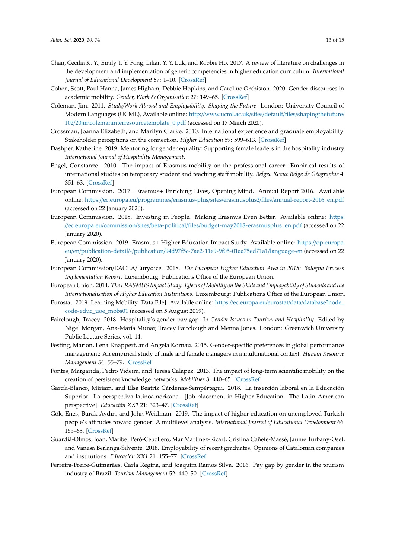- <span id="page-12-0"></span>Chan, Cecilia K. Y., Emily T. Y. Fong, Lilian Y. Y. Luk, and Robbie Ho. 2017. A review of literature on challenges in the development and implementation of generic competencies in higher education curriculum. *International Journal of Educational Development* 57: 1–10. [\[CrossRef\]](http://dx.doi.org/10.1016/j.ijedudev.2017.08.010)
- <span id="page-12-8"></span>Cohen, Scott, Paul Hanna, James Higham, Debbie Hopkins, and Caroline Orchiston. 2020. Gender discourses in academic mobility. *Gender, Work & Organisation* 27: 149–65. [\[CrossRef\]](http://dx.doi.org/10.1111/gwao.12413)
- <span id="page-12-3"></span>Coleman, Jim. 2011. *Study*/*Work Abroad and Employability. Shaping the Future*. London: University Council of Modern Languages (UCML), Available online: http://www.ucml.ac.uk/sites/default/files/[shapingthefuture](http://www.ucml.ac.uk/sites/default/files/shapingthefuture/102/20jimcolemaninterresourcetemplate_0.pdf)/ 102/[20jimcolemaninterresourcetemplate\\_0.pdf](http://www.ucml.ac.uk/sites/default/files/shapingthefuture/102/20jimcolemaninterresourcetemplate_0.pdf) (accessed on 17 March 2020).
- <span id="page-12-1"></span>Crossman, Joanna Elizabeth, and Marilyn Clarke. 2010. International experience and graduate employability: Stakeholder perceptions on the connection. *Higher Education* 59: 599–613. [\[CrossRef\]](http://dx.doi.org/10.1007/s10734-009-9268-z)
- <span id="page-12-14"></span>Dashper, Katherine. 2019. Mentoring for gender equality: Supporting female leaders in the hospitality industry. *International Journal of Hospitality Management*.
- <span id="page-12-2"></span>Engel, Constanze. 2010. The impact of Erasmus mobility on the professional career: Empirical results of international studies on temporary student and teaching staff mobility. *Belgeo Revue Belge de Géographie* 4: 351–63. [\[CrossRef\]](http://dx.doi.org/10.4000/belgeo.6399)
- <span id="page-12-5"></span>European Commission. 2017. Erasmus+ Enriching Lives, Opening Mind. Annual Report 2016. Available online: https://ec.europa.eu/programmes/erasmus-plus/sites/erasmusplus2/files/[annual-report-2016\\_en.pdf](https://ec.europa.eu/programmes/erasmus-plus/sites/erasmusplus2/files/annual-report-2016_en.pdf) (accessed on 22 January 2020).
- <span id="page-12-4"></span>European Commission. 2018. Investing in People. Making Erasmus Even Better. Available online: [https:](https://ec.europa.eu/commission/sites/beta-political/files/budget-may2018-erasmusplus_en.pdf) //ec.europa.eu/commission/sites/beta-political/files/[budget-may2018-erasmusplus\\_en.pdf](https://ec.europa.eu/commission/sites/beta-political/files/budget-may2018-erasmusplus_en.pdf) (accessed on 22 January 2020).
- <span id="page-12-12"></span>European Commission. 2019. Erasmus+ Higher Education Impact Study. Available online: https://[op.europa.](https://op.europa.eu/en/publication-detail/-/publication/94d97f5c-7ae2-11e9-9f05-01aa75ed71a1/language-en) eu/en/publication-detail/-/publication/[94d97f5c-7ae2-11e9-9f05-01aa75ed71a1](https://op.europa.eu/en/publication-detail/-/publication/94d97f5c-7ae2-11e9-9f05-01aa75ed71a1/language-en)/language-en (accessed on 22 January 2020).
- <span id="page-12-6"></span>European Commission/EACEA/Eurydice. 2018. *The European Higher Education Area in 2018: Bologna Process Implementation Report*. Luxembourg: Publications Office of the European Union.
- <span id="page-12-16"></span>European Union. 2014. *The ERASMUS Impact Study. E*ff*ects of Mobility on the Skills and Employability of Students and the Internationalisation of Higher Education Institutions*. Luxembourg: Publications Office of the European Union.
- <span id="page-12-7"></span>Eurostat. 2019. Learning Mobility [Data File]. Available online: https://ec.europa.eu/eurostat/data/[database?node\\_](https://ec.europa.eu/eurostat/data/database?node_code-educ_uoe_mobs01) [code-educ\\_uoe\\_mobs01](https://ec.europa.eu/eurostat/data/database?node_code-educ_uoe_mobs01) (accessed on 5 August 2019).
- <span id="page-12-17"></span>Fairclough, Tracey. 2018. Hospitality's gender pay gap. In *Gender Issues in Tourism and Hospitality*. Edited by Nigel Morgan, Ana-María Munar, Tracey Fairclough and Menna Jones. London: Greenwich University Public Lecture Series, vol. 14.
- <span id="page-12-15"></span>Festing, Marion, Lena Knappert, and Angela Kornau. 2015. Gender-specific preferences in global performance management: An empirical study of male and female managers in a multinational context. *Human Resource Management* 54: 55–79. [\[CrossRef\]](http://dx.doi.org/10.1002/hrm.21609)
- <span id="page-12-13"></span>Fontes, Margarida, Pedro Videira, and Teresa Calapez. 2013. The impact of long-term scientific mobility on the creation of persistent knowledge networks. *Mobilities* 8: 440–65. [\[CrossRef\]](http://dx.doi.org/10.1080/17450101.2012.655976)
- <span id="page-12-10"></span>García-Blanco, Miriam, and Elsa Beatriz Cárdenas-Sempértegui. 2018. La inserción laboral en la Educación Superior. La perspectiva latinoamericana. [Job placement in Higher Education. The Latin American perspective]. *Educación XX1* 21: 323–47. [\[CrossRef\]](http://dx.doi.org/10.5944/educxx1.16209)
- <span id="page-12-9"></span>Gök, Enes, Burak Aydın, and John Weidman. 2019. The impact of higher education on unemployed Turkish people's attitudes toward gender: A multilevel analysis. *International Journal of Educational Development* 66: 155–63. [\[CrossRef\]](http://dx.doi.org/10.1016/j.ijedudev.2018.10.004)
- <span id="page-12-11"></span>Guardià-Olmos, Joan, Maribel Peró-Cebollero, Mar Martínez-Ricart, Cristina Cañete-Massé, Jaume Turbany-Oset, and Vanesa Berlanga-Silvente. 2018. Employability of recent graduates. Opinions of Catalonian companies and institutions. *Educación XX1* 21: 155–77. [\[CrossRef\]](http://dx.doi.org/10.5944/educxx1.19871)
- <span id="page-12-18"></span>Ferreira-Freire-Guimarães, Carla Regina, and Joaquim Ramos Silva. 2016. Pay gap by gender in the tourism industry of Brazil. *Tourism Management* 52: 440–50. [\[CrossRef\]](http://dx.doi.org/10.1016/j.tourman.2015.07.003)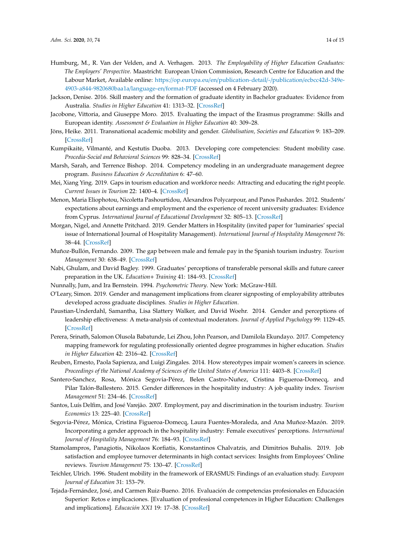- <span id="page-13-1"></span>Humburg, M., R. Van der Velden, and A. Verhagen. 2013. *The Employability of Higher Education Graduates: The Employers' Perspective*. Maastricht: European Union Commission, Research Centre for Education and the Labour Market, Available online: https://op.europa.eu/en/[publication-detail](https://op.europa.eu/en/publication-detail/-/publication/ecbcc42d-349e-4903-a844-9820680baa1a/language-en/format-PDF)/-/publication/ecbcc42d-349e-[4903-a844-9820680baa1a](https://op.europa.eu/en/publication-detail/-/publication/ecbcc42d-349e-4903-a844-9820680baa1a/language-en/format-PDF)/language-en/format-PDF (accessed on 4 February 2020).
- <span id="page-13-7"></span>Jackson, Denise. 2016. Skill mastery and the formation of graduate identity in Bachelor graduates: Evidence from Australia. *Studies in Higher Education* 41: 1313–32. [\[CrossRef\]](http://dx.doi.org/10.1080/03075079.2014.981515)
- <span id="page-13-2"></span>Jacobone, Vittoria, and Giuseppe Moro. 2015. Evaluating the impact of the Erasmus programme: Skills and European identity. *Assessment & Evaluation in Higher Education* 40: 309–28.
- <span id="page-13-6"></span>Jöns, Heike. 2011. Transnational academic mobility and gender. *Globalisation, Societies and Education* 9: 183–209. [\[CrossRef\]](http://dx.doi.org/10.1080/14767724.2011.577199)
- <span id="page-13-4"></span>Kumpikaitė, Vilmanté, and Kestutis Duoba. 2013. Developing core competencies: Student mobility case. *Procedia-Social and Behavioral Sciences* 99: 828–34. [\[CrossRef\]](http://dx.doi.org/10.1016/j.sbspro.2013.10.554)
- <span id="page-13-0"></span>Marsh, Sarah, and Terrence Bishop. 2014. Competency modeling in an undergraduate management degree program. *Business Education & Accreditation* 6: 47–60.
- <span id="page-13-21"></span>Mei, Xiang Ying. 2019. Gaps in tourism education and workforce needs: Attracting and educating the right people. *Current Issues in Tourism* 22: 1400–4. [\[CrossRef\]](http://dx.doi.org/10.1080/13683500.2017.1402870)
- <span id="page-13-10"></span>Menon, Maria Eliophotou, Nicoletta Pashourtidou, Alexandros Polycarpour, and Panos Pashardes. 2012. Students' expectations about earnings and employment and the experience of recent university graduates: Evidence from Cyprus. *International Journal of Educational Development* 32: 805–13. [\[CrossRef\]](http://dx.doi.org/10.1016/j.ijedudev.2011.11.011)
- <span id="page-13-12"></span>Morgan, Nigel, and Annette Pritchard. 2019. Gender Matters in Hospitality (invited paper for 'luminaries' special issue of International Journal of Hospitality Management). *International Journal of Hospitality Management* 76: 38–44. [\[CrossRef\]](http://dx.doi.org/10.1016/j.ijhm.2018.06.008)
- <span id="page-13-18"></span>Muñoz-Bullón, Fernando. 2009. The gap between male and female pay in the Spanish tourism industry. *Tourism Management* 30: 638–49. [\[CrossRef\]](http://dx.doi.org/10.1016/j.tourman.2008.11.007)
- <span id="page-13-8"></span>Nabi, Ghulam, and David Bagley. 1999. Graduates' perceptions of transferable personal skills and future career preparation in the UK. *Education*+ *Training* 41: 184–93. [\[CrossRef\]](http://dx.doi.org/10.1108/13620439810368619)
- <span id="page-13-17"></span>Nunnally, Jum, and Ira Bernstein. 1994. *Psychometric Theory*. New York: McGraw-Hill.
- <span id="page-13-9"></span>O'Leary, Simon. 2019. Gender and management implications from clearer signposting of employability attributes developed across graduate disciplines. *Studies in Higher Education*.
- <span id="page-13-14"></span>Paustian-Underdahl, Samantha, Lisa Slattery Walker, and David Woehr. 2014. Gender and perceptions of leadership effectiveness: A meta-analysis of contextual moderators. *Journal of Applied Psychology* 99: 1129–45. [\[CrossRef\]](http://dx.doi.org/10.1037/a0036751)
- <span id="page-13-5"></span>Perera, Srinath, Salomon Olusola Babatunde, Lei Zhou, John Pearson, and Damilola Ekundayo. 2017. Competency mapping framework for regulating professionally oriented degree programmes in higher education. *Studies in Higher Education* 42: 2316–42. [\[CrossRef\]](http://dx.doi.org/10.1080/03075079.2016.1143926)
- <span id="page-13-15"></span>Reuben, Ernesto, Paola Sapienza, and Luigi Zingales. 2014. How stereotypes impair women's careers in science. *Proceedings of the National Academy of Sciences of the United States of America* 111: 4403–8. [\[CrossRef\]](http://dx.doi.org/10.1073/pnas.1314788111)
- <span id="page-13-19"></span>Santero-Sanchez, Rosa, Mónica Segovia-Pérez, Belen Castro-Nuñez, Cristina Figueroa-Domecq, and Pilar Talón-Ballestero. 2015. Gender differences in the hospitality industry: A job quality index. *Tourism Management* 51: 234–46. [\[CrossRef\]](http://dx.doi.org/10.1016/j.tourman.2015.05.025)
- <span id="page-13-20"></span>Santos, Luís Delfim, and José Varejão. 2007. Employment, pay and discrimination in the tourism industry. *Tourism Economics* 13: 225–40. [\[CrossRef\]](http://dx.doi.org/10.5367/000000007780823186)
- <span id="page-13-13"></span>Segovia-Pérez, Mónica, Cristina Figueroa-Domecq, Laura Fuentes-Moraleda, and Ana Muñoz-Mazón. 2019. Incorporating a gender approach in the hospitality industry: Female executives' perceptions. *International Journal of Hospitality Management* 76: 184–93. [\[CrossRef\]](http://dx.doi.org/10.1016/j.ijhm.2018.05.008)
- <span id="page-13-16"></span>Stamolampros, Panagiotis, Nikolaos Korfiatis, Konstantinos Chalvatzis, and Dimitrios Buhalis. 2019. Job satisfaction and employee turnover determinants in high contact services: Insights from Employees' Online reviews. *Tourism Management* 75: 130–47. [\[CrossRef\]](http://dx.doi.org/10.1016/j.tourman.2019.04.030)
- <span id="page-13-3"></span>Teichler, Ulrich. 1996. Student mobility in the framework of ERASMUS: Findings of an evaluation study. *European Journal of Education* 31: 153–79.
- <span id="page-13-11"></span>Tejada-Fernández, José, and Carmen Ruiz-Bueno. 2016. Evaluación de competencias profesionales en Educación Superior: Retos e implicaciones. [Evaluation of professional competences in Higher Education: Challenges and implications]. *Educación XX1* 19: 17–38. [\[CrossRef\]](http://dx.doi.org/10.5944/educXX1.12175)